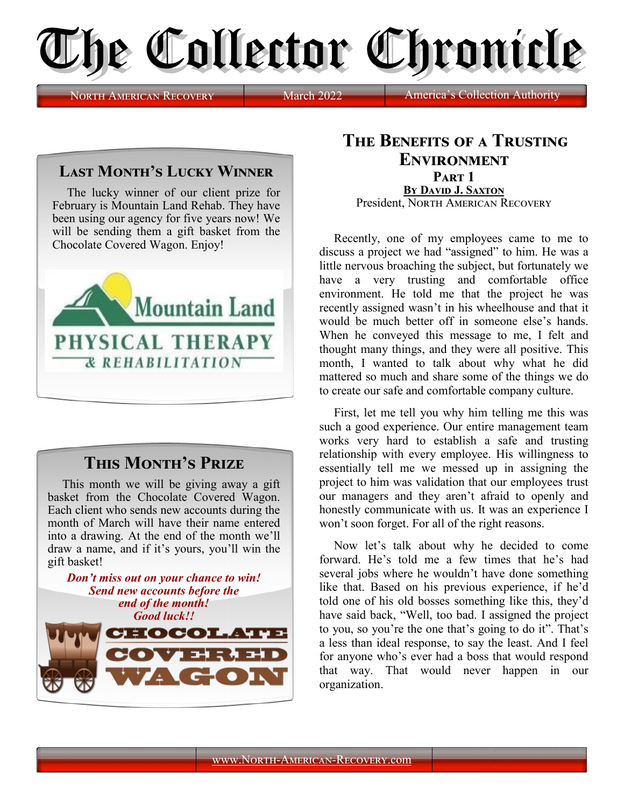

**NORTH AMERICAN RECOVERY** March 2022

## **Last Month's Lucky Winner**

The lucky winner of our client prize for February is Mountain Land Rehab. They have been using our agency for five years now! We will be sending them a gift basket from the Chocolate Covered Wagon. Enjoy!



## **This Month's Prize**

This month we will be giving away a gift basket from the Chocolate Covered Wagon. Each client who sends new accounts during the month of March will have their name entered into a drawing. At the end of the month we'll draw a name, and if it's yours, you'll win the gift basket!



## **The Benefits of a Trusting Environment Part 1 By David J. Saxton** President, NORTH AMERICAN RECOVERY

Recently, one of my employees came to me to discuss a project we had "assigned" to him. He was a little nervous broaching the subject, but fortunately we have a very trusting and comfortable office environment. He told me that the project he was recently assigned wasn't in his wheelhouse and that it would be much better off in someone else's hands. When he conveyed this message to me, I felt and thought many things, and they were all positive. This month, I wanted to talk about why what he did mattered so much and share some of the things we do to create our safe and comfortable company culture.

First, let me tell you why him telling me this was such a good experience. Our entire management team works very hard to establish a safe and trusting relationship with every employee. His willingness to essentially tell me we messed up in assigning the project to him was validation that our employees trust our managers and they aren't afraid to openly and honestly communicate with us. It was an experience I won't soon forget. For all of the right reasons.

Now let's talk about why he decided to come forward. He's told me a few times that he's had several jobs where he wouldn't have done something like that. Based on his previous experience, if he'd told one of his old bosses something like this, they'd have said back, "Well, too bad. I assigned the project to you, so you're the one that's going to do it". That's a less than ideal response, to say the least. And I feel for anyone who's ever had a boss that would respond that way. That would never happen in our organization.